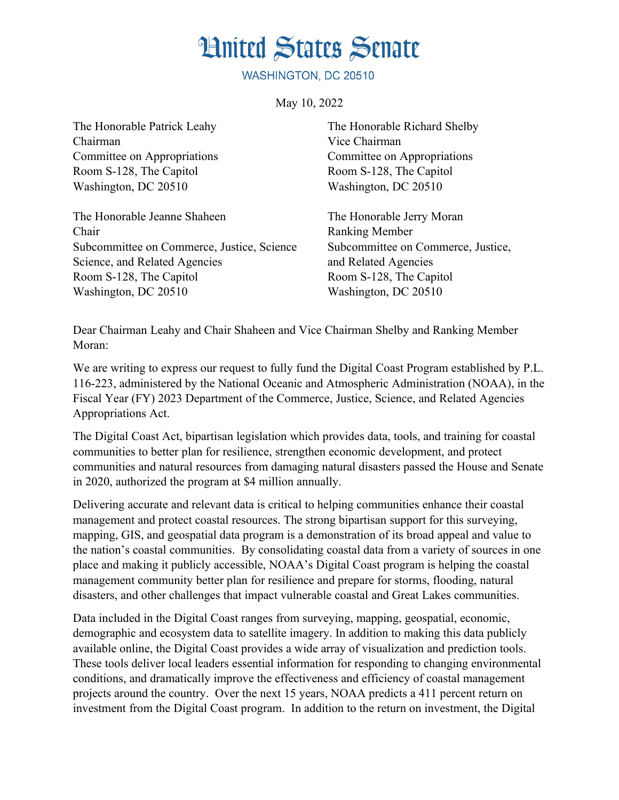## **Hnited States Senate**

WASHINGTON, DC 20510

May 10, 2022

The Honorable Patrick Leahy The Honorable Richard Shelby Chairman Vice Chairman Committee on Appropriations Committee on Appropriations Room S-128, The Capitol Room S-128, The Capitol Washington, DC 20510 Washington, DC 20510

The Honorable Jeanne Shaheen The Honorable Jerry Moran Chair Ranking Member Subcommittee on Commerce, Justice, Science Subcommittee on Commerce, Justice, Science, and Related Agencies and Related Agencies Room S-128, The Capitol Room S-128, The Capitol Washington, DC 20510 Washington, DC 20510

Dear Chairman Leahy and Chair Shaheen and Vice Chairman Shelby and Ranking Member Moran:

We are writing to express our request to fully fund the Digital Coast Program established by P.L. 116-223, administered by the National Oceanic and Atmospheric Administration (NOAA), in the Fiscal Year (FY) 2023 Department of the Commerce, Justice, Science, and Related Agencies Appropriations Act.

The Digital Coast Act, bipartisan legislation which provides data, tools, and training for coastal communities to better plan for resilience, strengthen economic development, and protect communities and natural resources from damaging natural disasters passed the House and Senate in 2020, authorized the program at \$4 million annually.

Delivering accurate and relevant data is critical to helping communities enhance their coastal management and protect coastal resources. The strong bipartisan support for this surveying, mapping, GIS, and geospatial data program is a demonstration of its broad appeal and value to the nation's coastal communities. By consolidating coastal data from a variety of sources in one place and making it publicly accessible, NOAA's Digital Coast program is helping the coastal management community better plan for resilience and prepare for storms, flooding, natural disasters, and other challenges that impact vulnerable coastal and Great Lakes communities.

Data included in the Digital Coast ranges from surveying, mapping, geospatial, economic, demographic and ecosystem data to satellite imagery. In addition to making this data publicly available online, the Digital Coast provides a wide array of visualization and prediction tools. These tools deliver local leaders essential information for responding to changing environmental conditions, and dramatically improve the effectiveness and efficiency of coastal management projects around the country. Over the next 15 years, NOAA predicts a 411 percent return on investment from the Digital Coast program. In addition to the return on investment, the Digital